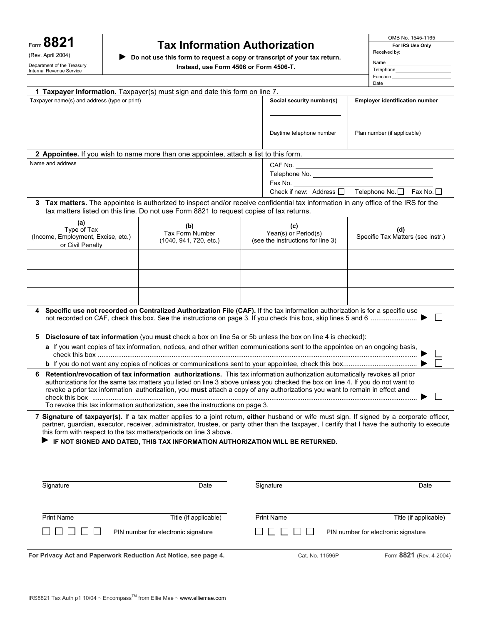| Form 8821                                              |
|--------------------------------------------------------|
| (Rev. April 2004)                                      |
| Department of the Treasury<br>Internal Revenue Service |

# **Tax Information Authorization**

▶ Do not use this form to request a copy or transcript of your tax return. **Instead, use Form 4506 or Form 4506-T.**

| OMB No. 1545-1165 |  |
|-------------------|--|
|-------------------|--|

**For IRS Use Only**  Received by:

| Name      |  |
|-----------|--|
| Telephone |  |
| Function  |  |
| Date      |  |

| 1 Taxpayer Information. Taxpayer(s) must sign and date this form on line 7.                                                                                                                                                                                                                   |                                                                                         |                                                                                                                                    |                                                   |  |  |
|-----------------------------------------------------------------------------------------------------------------------------------------------------------------------------------------------------------------------------------------------------------------------------------------------|-----------------------------------------------------------------------------------------|------------------------------------------------------------------------------------------------------------------------------------|---------------------------------------------------|--|--|
| Taxpayer name(s) and address (type or print)                                                                                                                                                                                                                                                  |                                                                                         | Social security number(s)                                                                                                          | <b>Employer identification number</b>             |  |  |
|                                                                                                                                                                                                                                                                                               |                                                                                         |                                                                                                                                    |                                                   |  |  |
|                                                                                                                                                                                                                                                                                               |                                                                                         |                                                                                                                                    |                                                   |  |  |
|                                                                                                                                                                                                                                                                                               |                                                                                         | Daytime telephone number                                                                                                           | Plan number (if applicable)                       |  |  |
|                                                                                                                                                                                                                                                                                               |                                                                                         |                                                                                                                                    |                                                   |  |  |
| 2 Appointee. If you wish to name more than one appointee, attach a list to this form.                                                                                                                                                                                                         |                                                                                         |                                                                                                                                    |                                                   |  |  |
| Name and address                                                                                                                                                                                                                                                                              |                                                                                         |                                                                                                                                    |                                                   |  |  |
|                                                                                                                                                                                                                                                                                               |                                                                                         |                                                                                                                                    |                                                   |  |  |
|                                                                                                                                                                                                                                                                                               |                                                                                         | Fax No.                                                                                                                            | Check if new: Address □ Telephone No. □ Fax No. □ |  |  |
|                                                                                                                                                                                                                                                                                               |                                                                                         |                                                                                                                                    |                                                   |  |  |
|                                                                                                                                                                                                                                                                                               | tax matters listed on this line. Do not use Form 8821 to request copies of tax returns. | 3 Tax matters. The appointee is authorized to inspect and/or receive confidential tax information in any office of the IRS for the |                                                   |  |  |
| (a)                                                                                                                                                                                                                                                                                           | (b)                                                                                     | (c)                                                                                                                                |                                                   |  |  |
| Type of Tax<br>(Income, Employment, Excise, etc.)                                                                                                                                                                                                                                             | Tax Form Number                                                                         | Year(s) or Period(s)                                                                                                               | (d)<br>Specific Tax Matters (see instr.)          |  |  |
| or Civil Penalty                                                                                                                                                                                                                                                                              | (1040, 941, 720, etc.)                                                                  | (see the instructions for line 3)                                                                                                  |                                                   |  |  |
|                                                                                                                                                                                                                                                                                               |                                                                                         |                                                                                                                                    |                                                   |  |  |
|                                                                                                                                                                                                                                                                                               |                                                                                         |                                                                                                                                    |                                                   |  |  |
|                                                                                                                                                                                                                                                                                               |                                                                                         |                                                                                                                                    |                                                   |  |  |
|                                                                                                                                                                                                                                                                                               |                                                                                         |                                                                                                                                    |                                                   |  |  |
| Specific use not recorded on Centralized Authorization File (CAF). If the tax information authorization is for a specific use<br>4<br>$\Box$                                                                                                                                                  |                                                                                         |                                                                                                                                    |                                                   |  |  |
| 5.                                                                                                                                                                                                                                                                                            |                                                                                         | Disclosure of tax information (you must check a box on line 5a or 5b unless the box on line 4 is checked):                         |                                                   |  |  |
| a If you want copies of tax information, notices, and other written communications sent to the appointee on an ongoing basis,                                                                                                                                                                 |                                                                                         |                                                                                                                                    |                                                   |  |  |
|                                                                                                                                                                                                                                                                                               |                                                                                         |                                                                                                                                    | $\Box$                                            |  |  |
| 6                                                                                                                                                                                                                                                                                             |                                                                                         | Retention/revocation of tax information authorizations. This tax information authorization automatically revokes all prior         |                                                   |  |  |
|                                                                                                                                                                                                                                                                                               |                                                                                         | authorizations for the same tax matters you listed on line 3 above unless you checked the box on line 4. If you do not want to     |                                                   |  |  |
|                                                                                                                                                                                                                                                                                               |                                                                                         | revoke a prior tax information authorization, you must attach a copy of any authorizations you want to remain in effect and        | ×.                                                |  |  |
| To revoke this tax information authorization, see the instructions on page 3.                                                                                                                                                                                                                 |                                                                                         |                                                                                                                                    |                                                   |  |  |
| 7 Signature of taxpayer(s). If a tax matter applies to a joint return, either husband or wife must sign. If signed by a corporate officer,<br>partner, guardian, executor, receiver, administrator, trustee, or party other than the taxpayer, I certify that I have the authority to execute |                                                                                         |                                                                                                                                    |                                                   |  |  |
| this form with respect to the tax matters/periods on line 3 above.                                                                                                                                                                                                                            |                                                                                         |                                                                                                                                    |                                                   |  |  |
| IF NOT SIGNED AND DATED, THIS TAX INFORMATION AUTHORIZATION WILL BE RETURNED.                                                                                                                                                                                                                 |                                                                                         |                                                                                                                                    |                                                   |  |  |
|                                                                                                                                                                                                                                                                                               |                                                                                         |                                                                                                                                    |                                                   |  |  |
|                                                                                                                                                                                                                                                                                               |                                                                                         |                                                                                                                                    |                                                   |  |  |
|                                                                                                                                                                                                                                                                                               |                                                                                         |                                                                                                                                    |                                                   |  |  |
| Signature                                                                                                                                                                                                                                                                                     | Date                                                                                    | Signature                                                                                                                          | Date                                              |  |  |
|                                                                                                                                                                                                                                                                                               |                                                                                         |                                                                                                                                    |                                                   |  |  |
|                                                                                                                                                                                                                                                                                               |                                                                                         |                                                                                                                                    |                                                   |  |  |
| <b>Print Name</b>                                                                                                                                                                                                                                                                             | Title (if applicable)                                                                   | <b>Print Name</b>                                                                                                                  | Title (if applicable)                             |  |  |
|                                                                                                                                                                                                                                                                                               | PIN number for electronic signature                                                     |                                                                                                                                    | PIN number for electronic signature               |  |  |

For Privacy Act and Paperwork Reduction Act Notice, see page 4. Cat. No. 11596P Form 8821 (Rev. 4-2004)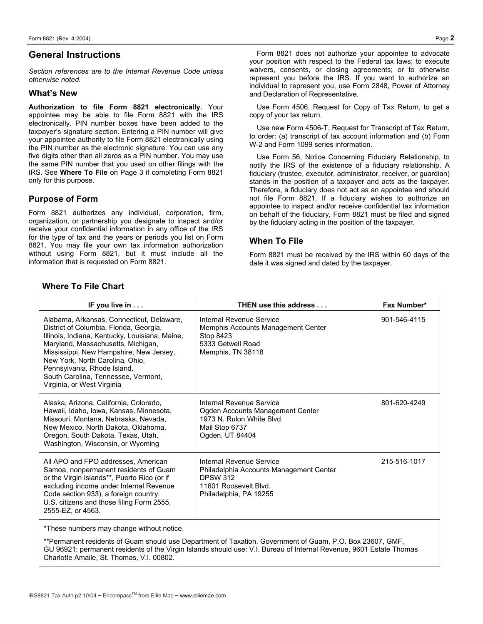## **General Instructions**

*Section references are to the Internal Revenue Code unless otherwise noted.* 

#### **What's New**

**Authorization to file Form 8821 electronically.** Your appointee may be able to file Form 8821 with the IRS electronically. PIN number boxes have been added to the taxpayer's signature section. Entering a PIN number will give your appointee authority to file Form 8821 electronically using the PIN number as the electronic signature. You can use any five digits other than all zeros as a PIN number. You may use the same PIN number that you used on other filings with the IRS. See **Where To File** on Page 3 if completing Form 8821 only for this purpose.

## **Purpose of Form**

Form 8821 authorizes any individual, corporation, firm, organization, or partnership you designate to inspect and/or receive your confidential information in any office of the IRS for the type of tax and the years or periods you list on Form 8821. You may file your own tax information authorization without using Form 8821, but it must include all the information that is requested on Form 8821.

Form 8821 does not authorize your appointee to advocate your position with respect to the Federal tax laws; to execute waivers, consents, or closing agreements; or to otherwise represent you before the IRS. If you want to authorize an individual to represent you, use Form 2848, Power of Attorney and Declaration of Representative.

Use Form 4506, Request for Copy of Tax Return, to get a copy of your tax return.

Use new Form 4506-T, Request for Transcript of Tax Return, to order: (a) transcript of tax account information and (b) Form W-2 and Form 1099 series information.

Use Form 56, Notice Concerning Fiduciary Relationship, to notify the IRS of the existence of a fiduciary relationship. A fiduciary (trustee, executor, administrator, receiver, or guardian) stands in the position of a taxpayer and acts as the taxpayer. Therefore, a fiduciary does not act as an appointee and should not file Form 8821. If a fiduciary wishes to authorize an appointee to inspect and/or receive confidential tax information on behalf of the fiduciary, Form 8821 must be filed and signed by the fiduciary acting in the position of the taxpayer.

#### **When To File**

Form 8821 must be received by the IRS within 60 days of the date it was signed and dated by the taxpayer.

| IF you live in                                                                                                                                                                                                                                                                                                                                                 | THEN use this address                                                                                                                     | Fax Number*  |
|----------------------------------------------------------------------------------------------------------------------------------------------------------------------------------------------------------------------------------------------------------------------------------------------------------------------------------------------------------------|-------------------------------------------------------------------------------------------------------------------------------------------|--------------|
| Alabama, Arkansas, Connecticut, Delaware,<br>District of Columbia, Florida, Georgia,<br>Illinois, Indiana, Kentucky, Louisiana, Maine,<br>Maryland, Massachusetts, Michigan,<br>Mississippi, New Hampshire, New Jersey,<br>New York, North Carolina, Ohio,<br>Pennsylvania, Rhode Island,<br>South Carolina, Tennessee, Vermont,<br>Virginia, or West Virginia | Internal Revenue Service<br>Memphis Accounts Management Center<br>Stop 8423<br>5333 Getwell Road<br>Memphis, TN 38118                     | 901-546-4115 |
| Alaska, Arizona, California, Colorado,<br>Hawaii, Idaho, Iowa, Kansas, Minnesota,<br>Missouri, Montana, Nebraska, Nevada,<br>New Mexico, North Dakota, Oklahoma,<br>Oregon, South Dakota, Texas, Utah,<br>Washington, Wisconsin, or Wyoming                                                                                                                    | Internal Revenue Service<br>Ogden Accounts Management Center<br>1973 N. Rulon White Blvd.<br>Mail Stop 6737<br>Ogden, UT 84404            | 801-620-4249 |
| All APO and FPO addresses, American<br>Samoa, nonpermanent residents of Guam<br>or the Virgin Islands**, Puerto Rico (or if<br>excluding income under Internal Revenue<br>Code section 933), a foreign country:<br>U.S. citizens and those filing Form 2555,<br>2555-EZ, or 4563.                                                                              | Internal Revenue Service<br>Philadelphia Accounts Management Center<br><b>DPSW 312</b><br>11601 Roosevelt Blvd.<br>Philadelphia, PA 19255 | 215-516-1017 |
| *These numbers may change without notice.                                                                                                                                                                                                                                                                                                                      |                                                                                                                                           |              |

\*\*Permanent residents of Guam should use Department of Taxation, Government of Guam, P.O. Box 23607, GMF, GU 96921; permanent residents of the Virgin Islands should use: V.I. Bureau of Internal Revenue, 9601 Estate Thomas Charlotte Amaile, St. Thomas, V.I. 00802.

## **Where To File Chart**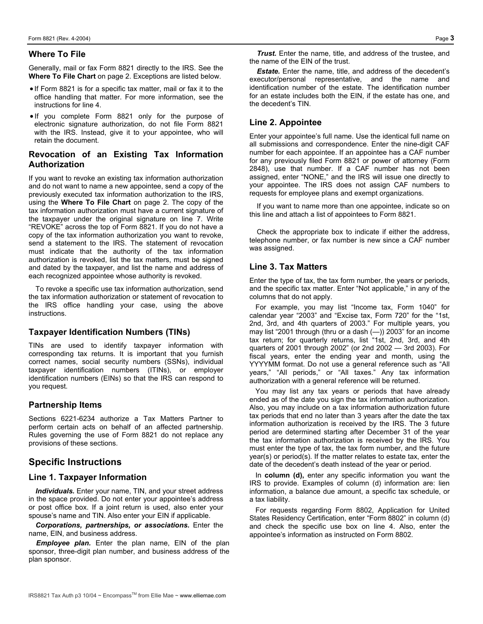#### **Where To File**

Generally, mail or fax Form 8821 directly to the IRS. See the **Where To File Chart** on page 2. Exceptions are listed below.

- If Form 8821 is for a specific tax matter, mail or fax it to the office handling that matter. For more information, see the instructions for line 4.
- If you complete Form 8821 only for the purpose of electronic signature authorization, do not file Form 8821 with the IRS. Instead, give it to your appointee, who will retain the document.

## **Revocation of an Existing Tax Information Authorization**

If you want to revoke an existing tax information authorization and do not want to name a new appointee, send a copy of the previously executed tax information authorization to the IRS, using the **Where To File Chart** on page 2. The copy of the tax information authorization must have a current signature of the taxpayer under the original signature on line 7. Write "REVOKE" across the top of Form 8821. If you do not have a copy of the tax information authorization you want to revoke, send a statement to the IRS. The statement of revocation must indicate that the authority of the tax information authorization is revoked, list the tax matters, must be signed and dated by the taxpayer, and list the name and address of each recognized appointee whose authority is revoked.

To revoke a specific use tax information authorization, send the tax information authorization or statement of revocation to the IRS office handling your case, using the above instructions.

#### **Taxpayer Identification Numbers (TINs)**

TINs are used to identify taxpayer information with corresponding tax returns. It is important that you furnish correct names, social security numbers (SSNs), individual taxpayer identification numbers (ITINs), or employer identification numbers (EINs) so that the IRS can respond to you request.

#### **Partnership Items**

Sections 6221-6234 authorize a Tax Matters Partner to perform certain acts on behalf of an affected partnership. Rules governing the use of Form 8821 do not replace any provisions of these sections.

## **Specific Instructions**

#### **Line 1. Taxpayer Information**

*Individuals.* Enter your name, TIN, and your street address in the space provided. Do not enter your appointee's address or post office box. If a joint return is used, also enter your spouse's name and TIN. Also enter your EIN if applicable.

*Corporations, partnerships, or associations.* Enter the name, EIN, and business address.

*Employee plan.* Enter the plan name, EIN of the plan sponsor, three-digit plan number, and business address of the plan sponsor.

*Trust.* Enter the name, title, and address of the trustee, and the name of the EIN of the trust.

**Estate.** Enter the name, title, and address of the decedent's executor/personal representative, and the name and identification number of the estate. The identification number for an estate includes both the EIN, if the estate has one, and the decedent's TIN.

## **Line 2. Appointee**

Enter your appointee's full name. Use the identical full name on all submissions and correspondence. Enter the nine-digit CAF number for each appointee. If an appointee has a CAF number for any previously filed Form 8821 or power of attorney (Form 2848), use that number. If a CAF number has not been assigned, enter "NONE," and the IRS will issue one directly to your appointee. The IRS does not assign CAF numbers to requests for employee plans and exempt organizations.

If you want to name more than one appointee, indicate so on this line and attach a list of appointees to Form 8821.

Check the appropriate box to indicate if either the address, telephone number, or fax number is new since a CAF number was assigned.

#### **Line 3. Tax Matters**

Enter the type of tax, the tax form number, the years or periods, and the specific tax matter. Enter "Not applicable," in any of the columns that do not apply.

For example, you may list "Income tax, Form 1040" for calendar year "2003" and "Excise tax, Form 720" for the "1st, 2nd, 3rd, and 4th quarters of 2003." For multiple years, you may list "2001 through (thru or a dash (—)) 2003" for an income tax return; for quarterly returns, list "1st, 2nd, 3rd, and 4th quarters of 2001 through 2002" (or 2nd 2002 — 3rd 2003). For fiscal years, enter the ending year and month, using the YYYYMM format. Do not use a general reference such as "All years," "All periods," or "All taxes." Any tax information authorization with a general reference will be returned.

You may list any tax years or periods that have already ended as of the date you sign the tax information authorization. Also, you may include on a tax information authorization future tax periods that end no later than 3 years after the date the tax information authorization is received by the IRS. The 3 future period are determined starting after December 31 of the year the tax information authorization is received by the IRS. You must enter the type of tax, the tax form number, and the future year(s) or period(s). If the matter relates to estate tax, enter the date of the decedent's death instead of the year or period.

In **column (d),** enter any specific information you want the IRS to provide. Examples of column (d) information are: lien information, a balance due amount, a specific tax schedule, or a tax liability.

For requests regarding Form 8802, Application for United States Residency Certification, enter "Form 8802" in column (d) and check the specific use box on line 4. Also, enter the appointee's information as instructed on Form 8802.